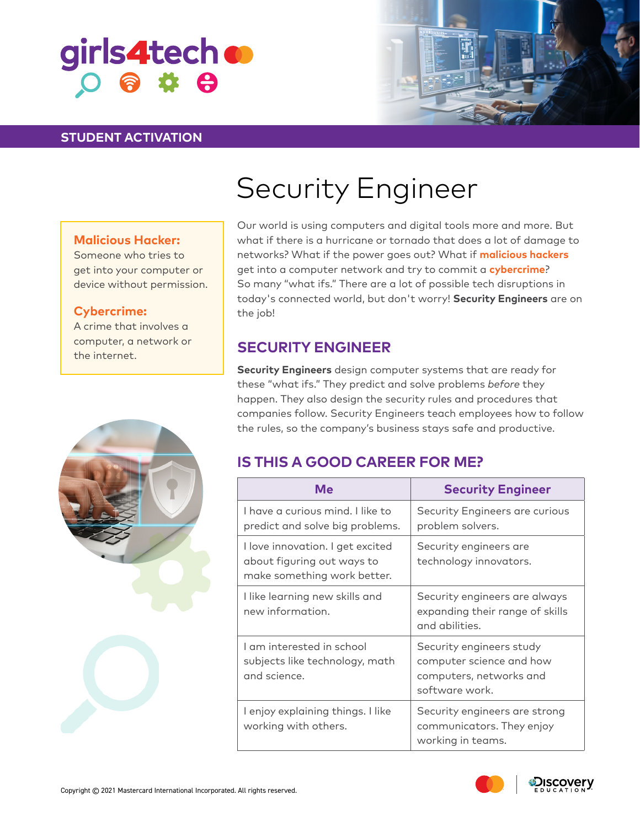# girls4tech o  $O$   $\frac{1}{2}$   $\frac{1}{2}$   $\frac{1}{2}$

### **STUDENT ACTIVATION**



# Security Engineer

### **Malicious Hacker:**

Someone who tries to get into your computer or device without permission.

#### **Cybercrime:**

A crime that involves a computer, a network or the internet.





Our world is using computers and digital tools more and more. But what if there is a hurricane or tornado that does a lot of damage to networks? What if the power goes out? What if **malicious hackers** get into a computer network and try to commit a **cybercrime**? So many "what ifs." There are a lot of possible tech disruptions in today's connected world, but don't worry! **Security Engineers** are on the job!

## **SECURITY ENGINEER**

**Security Engineers** design computer systems that are ready for these "what ifs." They predict and solve problems *before* they happen. They also design the security rules and procedures that companies follow. Security Engineers teach employees how to follow the rules, so the company's business stays safe and productive.

# **IS THIS A GOOD CAREER FOR ME?**

| Me                                                                                            | <b>Security Engineer</b>                                                                          |
|-----------------------------------------------------------------------------------------------|---------------------------------------------------------------------------------------------------|
| I have a curious mind. I like to<br>predict and solve big problems.                           | Security Engineers are curious<br>problem solvers.                                                |
| I love innovation. I get excited<br>about figuring out ways to<br>make something work better. | Security engineers are<br>technology innovators.                                                  |
| I like learning new skills and<br>new information.                                            | Security engineers are always<br>expanding their range of skills<br>and abilities.                |
| I am interested in school<br>subjects like technology, math<br>and science.                   | Security engineers study<br>computer science and how<br>computers, networks and<br>software work. |
| I enjoy explaining things. I like<br>working with others.                                     | Security engineers are strong<br>communicators. They enjoy<br>working in teams.                   |